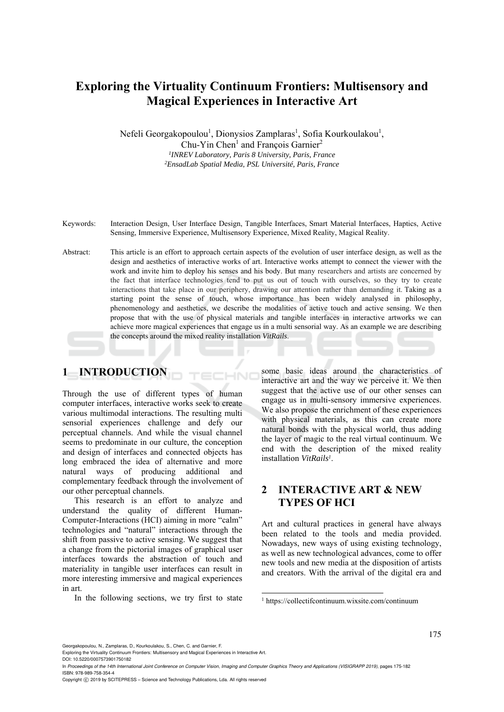# **Exploring the Virtuality Continuum Frontiers: Μultisensory and Magical Experiences in Interactive Art**

Nefeli Georgakopoulou<sup>1</sup>, Dionysios Zamplaras<sup>1</sup>, Sofia Kourkoulakou<sup>1</sup>, Chu-Yin Chen<sup>1</sup> and François Garnier<sup>2</sup> *1INREV Laboratory, Paris 8 University, Paris, France 2EnsadLab Spatial Media, PSL Université, Paris, France* 

- Keywords: Interaction Design, User Interface Design, Tangible Interfaces, Smart Material Interfaces, Haptics, Active Sensing, Immersive Experience, Multisensory Experience, Mixed Reality, Magical Reality.
- Abstract: This article is an effort to approach certain aspects of the evolution of user interface design, as well as the design and aesthetics of interactive works of art. Interactive works attempt to connect the viewer with the work and invite him to deploy his senses and his body. But many researchers and artists are concerned by the fact that interface technologies tend to put us out of touch with ourselves, so they try to create interactions that take place in our periphery, drawing our attention rather than demanding it. Taking as a starting point the sense of touch, whose importance has been widely analysed in philosophy, phenomenology and aesthetics, we describe the modalities of active touch and active sensing. We then propose that with the use of physical materials and tangible interfaces in interactive artworks we can achieve more magical experiences that engage us in a multi sensorial way. As an example we are describing the concepts around the mixed reality installation *VitRails*.

HNC

## **1 INTRODUCTION**

Through the use of different types of human computer interfaces, interactive works seek to create various multimodal interactions. The resulting multi sensorial experiences challenge and defy our perceptual channels. And while the visual channel seems to predominate in our culture, the conception and design of interfaces and connected objects has long embraced the idea of alternative and more natural ways of producing additional and complementary feedback through the involvement of our other perceptual channels.

This research is an effort to analyze and understand the quality of different Human-Computer-Interactions (HCI) aiming in more "calm" technologies and "natural" interactions through the shift from passive to active sensing. We suggest that a change from the pictorial images of graphical user interfaces towards the abstraction of touch and materiality in tangible user interfaces can result in more interesting immersive and magical experiences in art.

In the following sections, we try first to state

some basic ideas around the characteristics of interactive art and the way we perceive it. We then suggest that the active use of our other senses can engage us in multi-sensory immersive experiences. We also propose the enrichment of these experiences with physical materials, as this can create more natural bonds with the physical world, thus adding the layer of magic to the real virtual continuum. We end with the description of the mixed reality installation *VitRails1*.

### **2 INTERACTIVE ART & NEW TYPES OF HCI**

Art and cultural practices in general have always been related to the tools and media provided. Nowadays, new ways of using existing technology, as well as new technological advances, come to offer new tools and new media at the disposition of artists and creators. With the arrival of the digital era and

DOI: 10.5220/0007573901750182

In *Proceedings of the 14th International Joint Conference on Computer Vision, Imaging and Computer Graphics Theory and Applications (VISIGRAPP 2019)*, pages 175-182 ISBN: 978-989-758-354-4

.

Copyright C 2019 by SCITEPRESS – Science and Technology Publications, Lda. All rights reserved

<sup>1</sup> https://collectifcontinuum.wixsite.com/continuum

Georgakopoulou, N., Zamplaras, D., Kourkoulakou, S., Chen, C. and Garnier, F.

Exploring the Virtuality Continuum Frontiers: Multisensory and Magical Experiences in Interactive Art.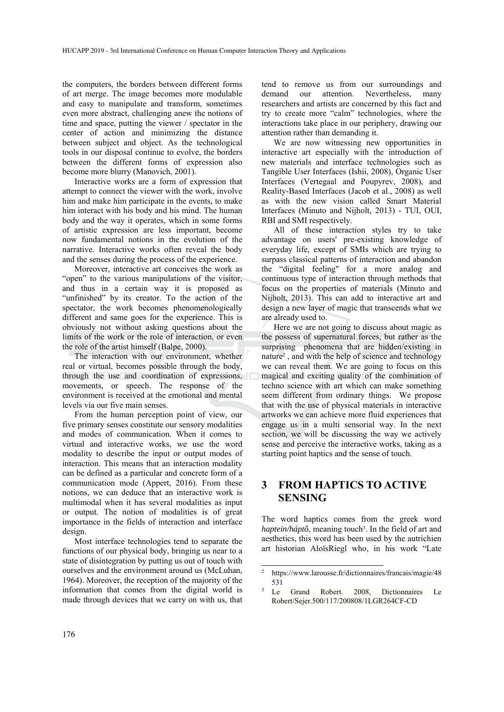the computers, the borders between different forms of art merge. The image becomes more modulable and easy to manipulate and transform, sometimes even more abstract, challenging anew the notions of time and space, putting the viewer / spectator in the center of action and minimizing the distance between subject and object. As the technological tools in our disposal continue to evolve, the borders between the different forms of expression also become more blurry (Manovich, 2001).

Interactive works are a form of expression that attempt to connect the viewer with the work, involve him and make him participate in the events, to make him interact with his body and his mind. The human body and the way it operates, which in some forms of artistic expression are less important, become now fundamental notions in the evolution of the narrative. Interactive works often reveal the body and the senses during the process of the experience.

Moreover, interactive art conceives the work as "open" to the various manipulations of the visitor, and thus in a certain way it is proposed as "unfinished" by its creator. To the action of the spectator, the work becomes phenomenologically different and same goes for the experience. This is obviously not without asking questions about the limits of the work or the role of interaction, or even the role of the artist himself (Balpe, 2000).

The interaction with our environment, whether real or virtual, becomes possible through the body, through the use and coordination of expressions, movements, or speech. The response of the environment is received at the emotional and mental levels via our five main senses.

From the human perception point of view, our five primary senses constitute our sensory modalities and modes of communication. When it comes to virtual and interactive works, we use the word modality to describe the input or output modes of interaction. This means that an interaction modality can be defined as a particular and concrete form of a communication mode (Appert, 2016). From these notions, we can deduce that an interactive work is multimodal when it has several modalities as input or output. The notion of modalities is of great importance in the fields of interaction and interface design.

Most interface technologies tend to separate the functions of our physical body, bringing us near to a state of disintegration by putting us out of touch with ourselves and the environment around us (McLuhan, 1964). Moreover, the reception of the majority of the information that comes from the digital world is made through devices that we carry on with us, that

tend to remove us from our surroundings and demand our attention. Nevertheless, many researchers and artists are concerned by this fact and try to create more "calm" technologies, where the interactions take place in our periphery, drawing our attention rather than demanding it.

We are now witnessing new opportunities in interactive art especially with the introduction of new materials and interface technologies such as Tangible User Interfaces (Ishii, 2008), Organic User Interfaces (Vertegaal and Poupyrev, 2008), and Reality-Based Interfaces (Jacob et al., 2008) as well as with the new vision called Smart Material Interfaces (Minuto and Nijholt, 2013) - TUI, OUI, RBI and SMI respectively.

All of these interaction styles try to take advantage on users' pre-existing knowledge of everyday life, except of SMIs which are trying to surpass classical patterns of interaction and abandon the "digital feeling" for a more analog and continuous type of interaction through methods that focus on the properties of materials (Minuto and Nijholt, 2013). This can add to interactive art and design a new layer of magic that transcends what we are already used to.

Here we are not going to discuss about magic as the possess of supernatural forces, but rather as the surprising phenomena that are hidden/existing in nature2 , and with the help of science and technology we can reveal them. We are going to focus on this magical and exciting quality of the combination of techno science with art which can make something seem different from ordinary things. We propose that with the use of physical materials in interactive artworks we can achieve more fluid experiences that engage us in a multi sensorial way. In the next section, we will be discussing the way we actively sense and perceive the interactive works, taking as a starting point haptics and the sense of touch.

## **3 FROM HAPTICS TO ACTIVE SENSING**

The word haptics comes from the greek word *haptein/háptô*, meaning touch<sup>3</sup>. In the field of art and aesthetics, this word has been used by the autrichien art historian AloïsRiegl who, in his work "Late

.

<sup>2</sup> https://www.larousse.fr/dictionnaires/francais/magie/48 531<br><sup>3</sup> Le Grand Robert. 2008, Dictionnaires Le

Robert/Sejer.500/117/200808/1LGR264CF-CD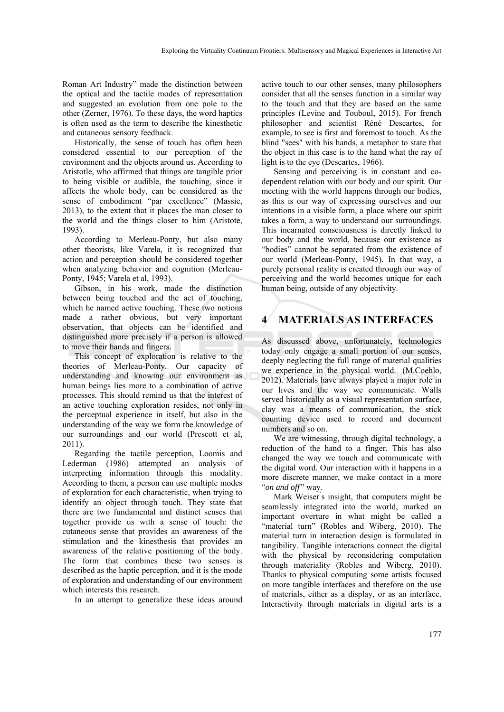Roman Art Industry" made the distinction between the optical and the tactile modes of representation and suggested an evolution from one pole to the other (Zerner, 1976). To these days, the word haptics is often used as the term to describe the kinesthetic and cutaneous sensory feedback.

Historically, the sense of touch has often been considered essential to our perception of the environment and the objects around us. According to Aristotle, who affirmed that things are tangible prior to being visible or audible, the touching, since it affects the whole body, can be considered as the sense of embodiment "par excellence" (Massie, 2013), to the extent that it places the man closer to the world and the things closer to him (Aristote, 1993).

According to Merleau-Ponty, but also many other theorists, like Varela, it is recognized that action and perception should be considered together when analyzing behavior and cognition (Merleau-Ponty, 1945; Varela et al, 1993).

Gibson, in his work, made the distinction between being touched and the act of touching, which he named active touching. These two notions made a rather obvious, but very important observation, that objects can be identified and distinguished more precisely if a person is allowed to move their hands and fingers.

This concept of exploration is relative to the theories of Merleau-Ponty. Our capacity of understanding and knowing our environment as human beings lies more to a combination of active processes. This should remind us that the interest of an active touching exploration resides, not only in the perceptual experience in itself, but also in the understanding of the way we form the knowledge of our surroundings and our world (Prescott et al, 2011).

Regarding the tactile perception, Loomis and Lederman (1986) attempted an analysis of interpreting information through this modality. According to them, a person can use multiple modes of exploration for each characteristic, when trying to identify an object through touch. They state that there are two fundamental and distinct senses that together provide us with a sense of touch: the cutaneous sense that provides an awareness of the stimulation and the kinesthesis that provides an awareness of the relative positioning of the body. The form that combines these two senses is described as the haptic perception, and it is the mode of exploration and understanding of our environment which interests this research.

In an attempt to generalize these ideas around

active touch to our other senses, many philosophers consider that all the senses function in a similar way to the touch and that they are based on the same principles (Levine and Touboul, 2015). For french philosopher and scientist Réné Descartes, for example, to see is first and foremost to touch. As the blind "sees" with his hands, a metaphor to state that the object in this case is to the hand what the ray of light is to the eye (Descartes, 1966).

Sensing and perceiving is in constant and codependent relation with our body and our spirit. Our meeting with the world happens through our bodies, as this is our way of expressing ourselves and our intentions in a visible form, a place where our spirit takes a form, a way to understand our surroundings. This incarnated consciousness is directly linked to our body and the world, because our existence as "bodies" cannot be separated from the existence of our world (Merleau-Ponty, 1945). In that way, a purely personal reality is created through our way of perceiving and the world becomes unique for each human being, outside of any objectivity.

## **4 MATERIALS AS INTERFACES**

As discussed above, unfortunately, technologies today only engage a small portion of our senses, deeply neglecting the full range of material qualities we experience in the physical world. (M.Coehlo, 2012). Materials have always played a major role in our lives and the way we communicate. Walls served historically as a visual representation surface, clay was a means of communication, the stick counting device used to record and document numbers and so on.

We are witnessing, through digital technology, a reduction of the hand to a finger. This has also changed the way we touch and communicate with the digital word. Our interaction with it happens in a more discrete manner, we make contact in a more "*on and off"* way.

Mark Weiser's insight, that computers might be seamlessly integrated into the world, marked an important overture in what might be called a "material turn" (Robles and Wiberg, 2010). The material turn in interaction design is formulated in tangibility. Tangible interactions connect the digital with the physical by reconsidering computation through materiality (Robles and Wiberg, 2010). Thanks to physical computing some artists focused on more tangible interfaces and therefore on the use of materials, either as a display, or as an interface. Interactivity through materials in digital arts is a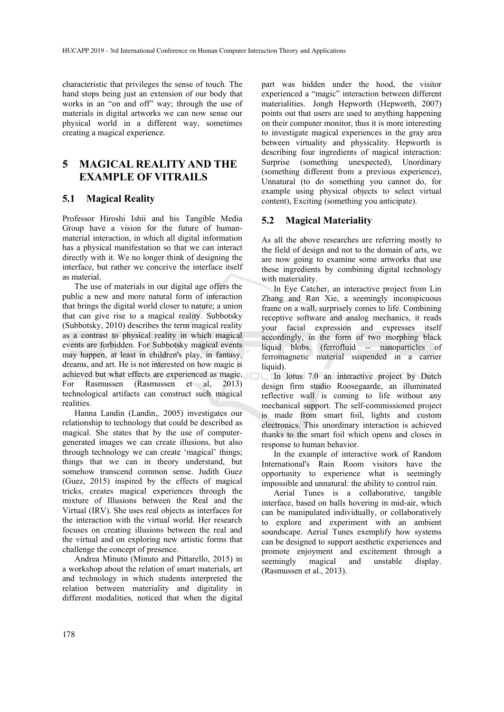characteristic that privileges the sense of touch. The hand stops being just an extension of our body that works in an "on and off" way; through the use of materials in digital artworks we can now sense our physical world in a different way, sometimes creating a magical experience.

## **5 MAGICAL REALITY AND THE EXAMPLE OF VITRAILS**

#### **5.1 Magical Reality**

Professor Hiroshi Ishii and his Tangible Media Group have a vision for the future of humanmaterial interaction, in which all digital information has a physical manifestation so that we can interact directly with it. We no longer think of designing the interface, but rather we conceive the interface itself as material.

The use of materials in our digital age offers the public a new and more natural form of interaction that brings the digital world closer to nature; a union that can give rise to a magical reality. Subbotsky (Subbotsky, 2010) describes the term magical reality as a contrast to physical reality in which magical events are forbidden. For Subbotsky magical events may happen, at least in children's play, in fantasy, dreams, and art. He is not interested on how magic is achieved but what effects are experienced as magic. For Rasmussen (Rasmussen et al, 2013) technological artifacts can construct such magical realities.

Hanna Landin (Landin,. 2005) investigates our relationship to technology that could be described as magical. She states that by the use of computergenerated images we can create illusions, but also through technology we can create 'magical' things; things that we can in theory understand, but somehow transcend common sense. Judith Guez (Guez, 2015) inspired by the effects of magical tricks, creates magical experiences through the mixture of Illusions between the Real and the Virtual (IRV). She uses real objects as interfaces for the interaction with the virtual world. Her research focuses on creating illusions between the real and the virtual and on exploring new artistic forms that challenge the concept of presence.

Andrea Minuto (Minuto and Pittarello, 2015) in a workshop about the relation of smart materials, art and technology in which students interpreted the relation between materiality and digitality in different modalities, noticed that when the digital

part was hidden under the hood, the visitor experienced a "magic" interaction between different materialities. Jongh Hepworth (Hepworth, 2007) points out that users are used to anything happening on their computer monitor, thus it is more interesting to investigate magical experiences in the gray area between virtuality and physicality. Hepworth is describing four ingredients of magical interaction: Surprise (something unexpected), Unordinary (something different from a previous experience), Unnatural (to do something you cannot do, for example using physical objects to select virtual content), Exciting (something you anticipate).

#### **5.2 Magical Materiality**

As all the above researches are referring mostly to the field of design and not to the domain of arts, we are now going to examine some artworks that use these ingredients by combining digital technology with materiality.

In Eye Catcher, an interactive project from Lin Zhang and Ran Xie, a seemingly inconspicuous frame on a wall, surprisely comes to life. Combining receptive software and analog mechanics, it reads your facial expression and expresses itself accordingly, in the form of two morphing black liquid blobs. (ferrofluid -- nanoparticles of ferromagnetic material suspended in a carrier liquid).

In lotus 7.0 an interactive project by Dutch design firm studio Roosegaarde, an illuminated reflective wall is coming to life without any mechanical support. The self-commissioned project is made from smart foil, lights and custom electronics. This unordinary interaction is achieved thanks to the smart foil which opens and closes in response to human behavior.

In the example of interactive work of Random International's Rain Room visitors have the opportunity to experience what is seemingly impossible and unnatural: the ability to control rain.

Aerial Tunes is a collaborative, tangible interface, based on balls hovering in mid-air, which can be manipulated individually, or collaboratively to explore and experiment with an ambient soundscape. Aerial Tunes exemplify how systems can be designed to support aesthetic experiences and promote enjoyment and excitement through a seemingly magical and unstable display. (Rasmussen et al., 2013).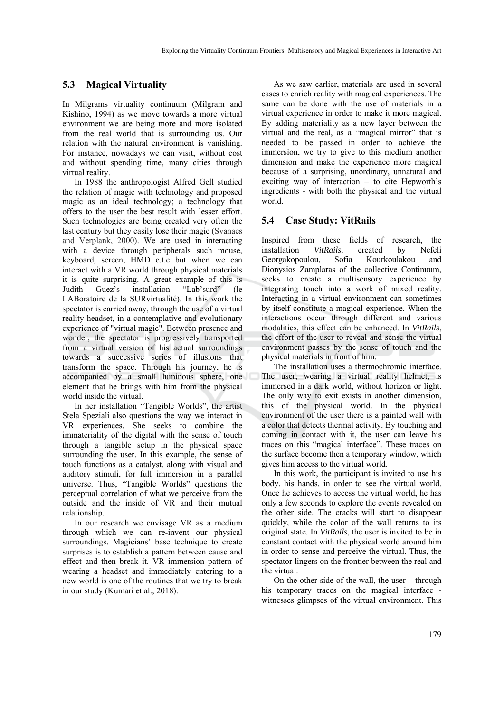#### **5.3 Magical Virtuality**

In Milgrams virtuality continuum (Milgram and Kishino, 1994) as we move towards a more virtual environment we are being more and more isolated from the real world that is surrounding us. Our relation with the natural environment is vanishing. For instance, nowadays we can visit, without cost and without spending time, many cities through virtual reality.

In 1988 the anthropologist Alfred Gell studied the relation of magic with technology and proposed magic as an ideal technology; a technology that offers to the user the best result with lesser effort. Such technologies are being created very often the last century but they easily lose their magic (Svanaes and Verplank, 2000). We are used in interacting with a device through peripherals such mouse, keyboard, screen, HMD e.t.c but when we can interact with a VR world through physical materials it is quite surprising. A great example of this is Judith Guez's installation "Lab'surd" (le LABoratoire de la SURvirtualité). In this work the spectator is carried away, through the use of a virtual reality headset, in a contemplative and evolutionary experience of "virtual magic". Between presence and wonder, the spectator is progressively transported from a virtual version of his actual surroundings towards a successive series of illusions that transform the space. Through his journey, he is accompanied by a small luminous sphere, one element that he brings with him from the physical world inside the virtual.

In her installation "Tangible Worlds", the artist Stela Speziali also questions the way we interact in VR experiences. She seeks to combine the immateriality of the digital with the sense of touch through a tangible setup in the physical space surrounding the user. In this example, the sense of touch functions as a catalyst, along with visual and auditory stimuli, for full immersion in a parallel universe. Thus, "Tangible Worlds" questions the perceptual correlation of what we perceive from the outside and the inside of VR and their mutual relationship.

In our research we envisage VR as a medium through which we can re-invent our physical surroundings. Magicians' base technique to create surprises is to establish a pattern between cause and effect and then break it. VR immersion pattern of wearing a headset and immediately entering to a new world is one of the routines that we try to break in our study (Kumari et al., 2018).

As we saw earlier, materials are used in several cases to enrich reality with magical experiences. The same can be done with the use of materials in a virtual experience in order to make it more magical. By adding materiality as a new layer between the virtual and the real, as a "magical mirror" that is needed to be passed in order to achieve the immersion, we try to give to this medium another dimension and make the experience more magical because of a surprising, unordinary, unnatural and exciting way of interaction – to cite Hepworth's ingredients - with both the physical and the virtual world.

#### **5.4 Case Study: VitRails**

Inspired from these fields of research, the installation *VitRails*, created by Nefeli Georgakopoulou, Sofia Kourkoulakou and Dionysios Zamplaras of the collective Continuum, seeks to create a multisensory experience by integrating touch into a work of mixed reality. Interacting in a virtual environment can sometimes by itself constitute a magical experience. When the interactions occur through different and various modalities, this effect can be enhanced. In *VitRails*, the effort of the user to reveal and sense the virtual environment passes by the sense of touch and the physical materials in front of him.

Τhe installation uses a thermochromic interface. The user, wearing a virtual reality helmet, is immersed in a dark world, without horizon or light. The only way to exit exists in another dimension, this of the physical world. In the physical environment of the user there is a painted wall with a color that detects thermal activity. By touching and coming in contact with it, the user can leave his traces on this "magical interface". These traces on the surface become then a temporary window, which gives him access to the virtual world.

In this work, the participant is invited to use his body, his hands, in order to see the virtual world. Once he achieves to access the virtual world, he has only a few seconds to explore the events revealed on the other side. The cracks will start to disappear quickly, while the color of the wall returns to its original state. In *VitRails*, the user is invited to be in constant contact with the physical world around him in order to sense and perceive the virtual. Thus, the spectator lingers on the frontier between the real and the virtual.

On the other side of the wall, the user – through his temporary traces on the magical interface witnesses glimpses of the virtual environment. This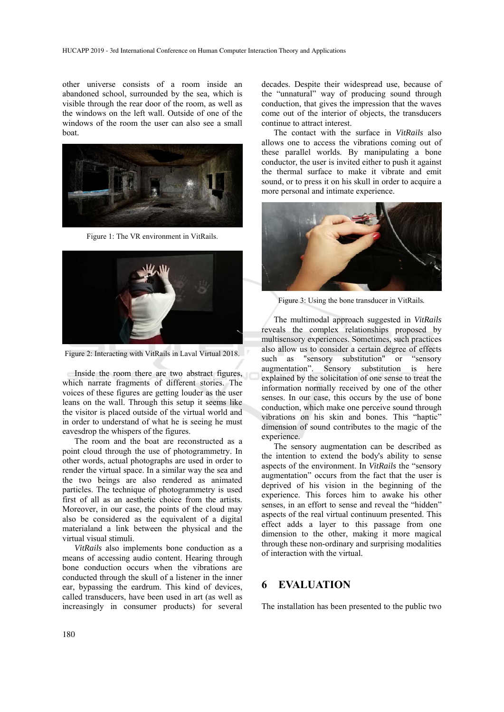other universe consists of a room inside an abandoned school, surrounded by the sea, which is visible through the rear door of the room, as well as the windows on the left wall. Outside of one of the windows of the room the user can also see a small boat.



Figure 1: The VR environment in VitRails.



Figure 2: Interacting with VitRails in Laval Virtual 2018.

Inside the room there are two abstract figures, which narrate fragments of different stories. The voices of these figures are getting louder as the user leans on the wall. Through this setup it seems like the visitor is placed outside of the virtual world and in order to understand of what he is seeing he must eavesdrop the whispers of the figures.

The room and the boat are reconstructed as a point cloud through the use of photogrammetry. In other words, actual photographs are used in order to render the virtual space. In a similar way the sea and the two beings are also rendered as animated particles. The technique of photogrammetry is used first of all as an aesthetic choice from the artists. Moreover, in our case, the points of the cloud may also be considered as the equivalent of a digital materialand a link between the physical and the virtual visual stimuli.

*VitRails* also implements bone conduction as a means of accessing audio content. Hearing through bone conduction occurs when the vibrations are conducted through the skull of a listener in the inner ear, bypassing the eardrum. This kind of devices, called transducers, have been used in art (as well as increasingly in consumer products) for several

decades. Despite their widespread use, because of the "unnatural" way of producing sound through conduction, that gives the impression that the waves come out of the interior of objects, the transducers continue to attract interest.

Τhe contact with the surface in *VitRails* also allows one to access the vibrations coming out of these parallel worlds. By manipulating a bone conductor, the user is invited either to push it against the thermal surface to make it vibrate and emit sound, or to press it on his skull in order to acquire a more personal and intimate experience.



Figure 3: Using the bone transducer in VitRails*.*

The multimodal approach suggested in *VitRails*  reveals the complex relationships proposed by multisensory experiences. Sometimes, such practices also allow us to consider a certain degree of effects such as "sensory substitution" or "sensory augmentation". Sensory substitution is here explained by the solicitation of one sense to treat the information normally received by one of the other senses. In our case, this occurs by the use of bone conduction, which make one perceive sound through vibrations on his skin and bones. This "haptic" dimension of sound contributes to the magic of the experience.

The sensory augmentation can be described as the intention to extend the body's ability to sense aspects of the environment. In *VitRails* the "sensory augmentation" occurs from the fact that the user is deprived of his vision in the beginning of the experience. This forces him to awake his other senses, in an effort to sense and reveal the "hidden" aspects of the real virtual continuum presented. This effect adds a layer to this passage from one dimension to the other, making it more magical through these non-ordinary and surprising modalities of interaction with the virtual.

### **6 EVALUATION**

The installation has been presented to the public two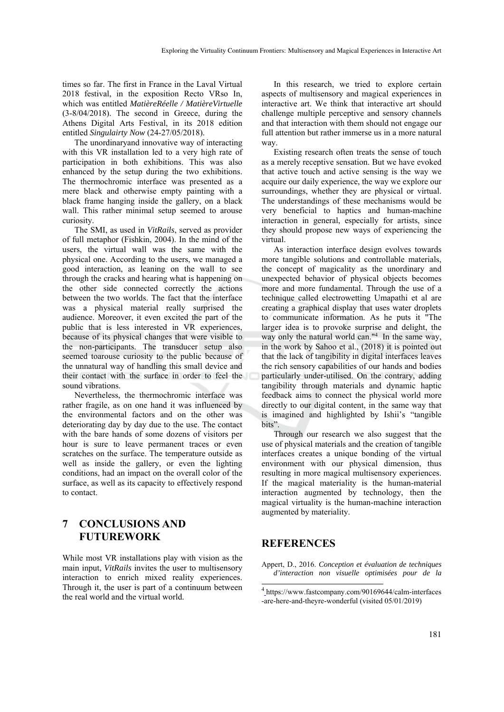times so far. The first in France in the Laval Virtual 2018 festival, in the exposition Recto VRso In, which was entitled *MatièreRéelle / MatièreVirtuelle* (3-8/04/2018). The second in Greece, during the Athens Digital Arts Festival, in its 2018 edition entitled *Singulairty Now* (24-27/05/2018).

The unordinaryand innovative way of interacting with this VR installation led to a very high rate of participation in both exhibitions. This was also enhanced by the setup during the two exhibitions. The thermochromic interface was presented as a mere black and otherwise empty painting with a black frame hanging inside the gallery, on a black wall. This rather minimal setup seemed to arouse curiosity.

The SMI, as used in *VitRails*, served as provider of full metaphor (Fishkin, 2004). In the mind of the users, the virtual wall was the same with the physical one. According to the users, we managed a good interaction, as leaning on the wall to see through the cracks and hearing what is happening on the other side connected correctly the actions between the two worlds. The fact that the interface was a physical material really surprised the audience. Moreover, it even excited the part of the public that is less interested in VR experiences, because of its physical changes that were visible to the non-participants. The transducer setup also seemed toarouse curiosity to the public because of the unnatural way of handling this small device and their contact with the surface in order to feel the sound vibrations.

Nevertheless, the thermochromic interface was rather fragile, as on one hand it was influenced by the environmental factors and on the other was deteriorating day by day due to the use. The contact with the bare hands of some dozens of visitors per hour is sure to leave permanent traces or even scratches on the surface. The temperature outside as well as inside the gallery, or even the lighting conditions, had an impact on the overall color of the surface, as well as its capacity to effectively respond to contact.

## **7 CONCLUSIONS AND FUTUREWORK**

While most VR installations play with vision as the main input, *VitRails* invites the user to multisensory interaction to enrich mixed reality experiences. Through it, the user is part of a continuum between the real world and the virtual world.

In this research, we tried to explore certain aspects of multisensory and magical experiences in interactive art. We think that interactive art should challenge multiple perceptive and sensory channels and that interaction with them should not engage our full attention but rather immerse us in a more natural way.

Existing research often treats the sense of touch as a merely receptive sensation. But we have evoked that active touch and active sensing is the way we acquire our daily experience, the way we explore our surroundings, whether they are physical or virtual. The understandings of these mechanisms would be very beneficial to haptics and human-machine interaction in general, especially for artists, since they should propose new ways of experiencing the virtual.

As interaction interface design evolves towards more tangible solutions and controllable materials, the concept of magicality as the unordinary and unexpected behavior of physical objects becomes more and more fundamental. Through the use of a technique called electrowetting Umapathi et al are creating a graphical display that uses water droplets to communicate information. As he puts it "The larger idea is to provoke surprise and delight, the way only the natural world can."4 In the same way, in the work by Sahoo et al., (2018) it is pointed out that the lack of tangibility in digital interfaces leaves the rich sensory capabilities of our hands and bodies particularly under-utilised. On the contrary, adding tangibility through materials and dynamic haptic feedback aims to connect the physical world more directly to our digital content, in the same way that is imagined and highlighted by Ishii's "tangible bits".

Through our research we also suggest that the use of physical materials and the creation of tangible interfaces creates a unique bonding of the virtual environment with our physical dimension, thus resulting in more magical multisensory experiences. If the magical materiality is the human-material interaction augmented by technology, then the magical virtuality is the human-machine interaction augmented by materiality.

#### **REFERENCES**

.

Appert, D., 2016. *Conception et évaluation de techniques d'interaction non visuelle optimisées pour de la* 

<sup>4</sup> https://www.fastcompany.com/90169644/calm-interfaces -are-here-and-theyre-wonderful (visited 05/01/2019)